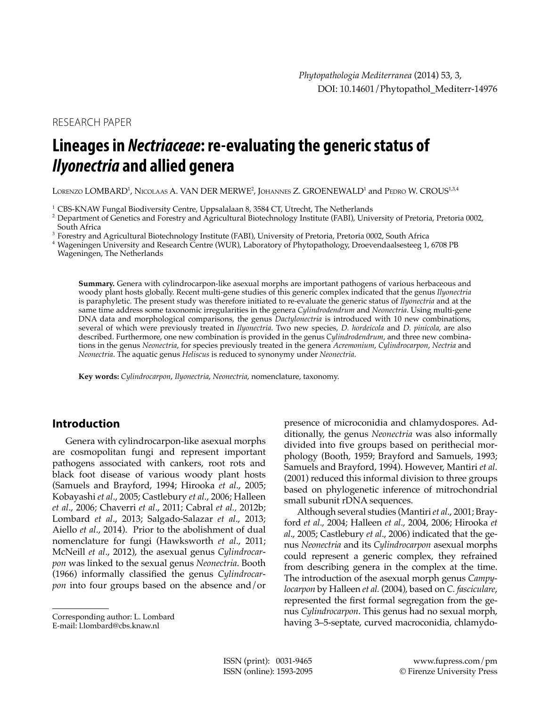RESEARCH PAPER

# **Lineages in** *Nectriaceae***: re-evaluating the generic status of**  *Ilyonectria* **and allied genera**

Lorenzo LOMBARD<sup>1</sup>, Nicolaas A. VAN DER MERWE<sup>2</sup>, Johannes Z. GROENEWALD<sup>1</sup> and Pedro W. CROUS<sup>1,3,4</sup>

<sup>1</sup> CBS-KNAW Fungal Biodiversity Centre, Uppsalalaan 8, 3584 CT, Utrecht, The Netherlands

<sup>2</sup> Department of Genetics and Forestry and Agricultural Biotechnology Institute (FABI), University of Pretoria, Pretoria 0002, South Africa

<sup>3</sup> Forestry and Agricultural Biotechnology Institute (FABI), University of Pretoria, Pretoria 0002, South Africa

<sup>4</sup> Wageningen University and Research Centre (WUR), Laboratory of Phytopathology, Droevendaalsesteeg 1, 6708 PB Wageningen, The Netherlands

**Summary.** Genera with cylindrocarpon-like asexual morphs are important pathogens of various herbaceous and woody plant hosts globally. Recent multi-gene studies of this generic complex indicated that the genus *Ilyonectria* is paraphyletic. The present study was therefore initiated to re-evaluate the generic status of *Ilyonectria* and at the same time address some taxonomic irregularities in the genera *Cylindrodendrum* and *Neonectria*. Using multi-gene DNA data and morphological comparisons, the genus *Dactylonectria* is introduced with 10 new combinations, several of which were previously treated in *Ilyonectria*. Two new species, *D. hordeicola* and *D. pinicola*, are also described. Furthermore, one new combination is provided in the genus *Cylindrodendrum*, and three new combinations in the genus *Neonectria*, for species previously treated in the genera *Acremonium*, *Cylindrocarpon*, *Nectria* and *Neonectria*. The aquatic genus *Heliscus* is reduced to synonymy under *Neonectria*.

**Key words:** *Cylindrocarpon*, *Ilyonectria*, *Neonectria*, nomenclature, taxonomy.

# **Introduction**

Genera with cylindrocarpon-like asexual morphs are cosmopolitan fungi and represent important pathogens associated with cankers, root rots and black foot disease of various woody plant hosts (Samuels and Brayford, 1994; Hirooka *et al*., 2005; Kobayashi *et al*., 2005; Castlebury *et al*., 2006; Halleen *et al*., 2006; Chaverri *et al*., 2011; Cabral *et al.,* 2012b; Lombard *et al*., 2013; Salgado-Salazar *et al*., 2013; Aiello *et al*., 2014). Prior to the abolishment of dual nomenclature for fungi (Hawksworth *et al*., 2011; McNeill *et al*., 2012), the asexual genus *Cylindrocarpon* was linked to the sexual genus *Neonectria*. Booth (1966) informally classified the genus *Cylindrocarpon* into four groups based on the absence and/or

E-mail: l.lombard@cbs.knaw.nl

presence of microconidia and chlamydospores. Additionally, the genus *Neonectria* was also informally divided into five groups based on perithecial morphology (Booth, 1959; Brayford and Samuels, 1993; Samuels and Brayford, 1994). However, Mantiri *et al.*  (2001) reduced this informal division to three groups based on phylogenetic inference of mitrochondrial small subunit rDNA sequences.

Although several studies (Mantiri *et al*., 2001; Brayford *et al*., 2004; Halleen *et al*., 2004, 2006; Hirooka *et al*., 2005; Castlebury *et al*., 2006) indicated that the genus *Neonectria* and its *Cylindrocarpon* asexual morphs could represent a generic complex, they refrained from describing genera in the complex at the time. The introduction of the asexual morph genus *Campylocarpon* by Halleen *et al.* (2004), based on *C. fasciculare*, represented the first formal segregation from the genus *Cylindrocarpon*. This genus had no sexual morph, having 3–5-septate, curved macroconidia, chlamydo-

Corresponding author: L. Lombard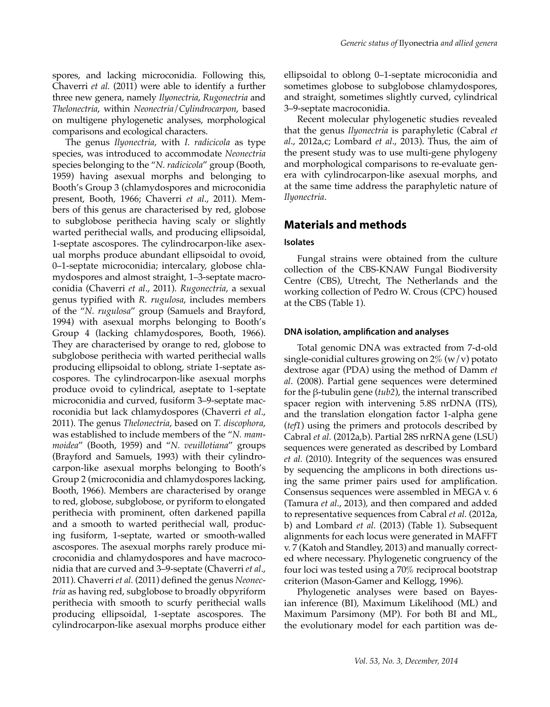The genus *Ilyonectria*, with *I. radicicola* as type species, was introduced to accommodate *Neonectria* species belonging to the "*N. radicicola*" group (Booth, 1959) having asexual morphs and belonging to Booth's Group 3 (chlamydospores and microconidia present, Booth, 1966; Chaverri *et al*., 2011). Members of this genus are characterised by red, globose to subglobose perithecia having scaly or slightly warted perithecial walls, and producing ellipsoidal, 1-septate ascospores. The cylindrocarpon-like asexual morphs produce abundant ellipsoidal to ovoid, 0–1-septate microconidia; intercalary, globose chlamydospores and almost straight, 1–3-septate macroconidia (Chaverri *et al*., 2011). *Rugonectria*, a sexual genus typified with *R. rugulosa*, includes members of the "*N. rugulosa*" group (Samuels and Brayford, 1994) with asexual morphs belonging to Booth's Group 4 (lacking chlamydospores, Booth, 1966). They are characterised by orange to red, globose to subglobose perithecia with warted perithecial walls producing ellipsoidal to oblong, striate 1-septate ascospores. The cylindrocarpon-like asexual morphs produce ovoid to cylindrical, aseptate to 1-septate microconidia and curved, fusiform 3–9-septate macroconidia but lack chlamydospores (Chaverri *et al*., 2011). The genus *Thelonectria*, based on *T. discophora*, was established to include members of the "*N. mammoidea*" (Booth, 1959) and "*N. veuillotiana*" groups (Brayford and Samuels, 1993) with their cylindrocarpon-like asexual morphs belonging to Booth's Group 2 (microconidia and chlamydospores lacking, Booth, 1966). Members are characterised by orange to red, globose, subglobose, or pyriform to elongated perithecia with prominent, often darkened papilla and a smooth to warted perithecial wall, producing fusiform, 1-septate, warted or smooth-walled ascospores. The asexual morphs rarely produce microconidia and chlamydospores and have macroconidia that are curved and 3–9-septate (Chaverri *et al*., 2011). Chaverri *et al.* (2011) defined the genus *Neonectria* as having red, subglobose to broadly obpyriform perithecia with smooth to scurfy perithecial walls producing ellipsoidal, 1-septate ascospores. The cylindrocarpon-like asexual morphs produce either

ellipsoidal to oblong 0–1-septate microconidia and sometimes globose to subglobose chlamydospores, and straight, sometimes slightly curved, cylindrical 3–9-septate macroconidia.

Recent molecular phylogenetic studies revealed that the genus *Ilyonectria* is paraphyletic (Cabral *et al*., 2012a,c; Lombard *et al*., 2013). Thus, the aim of the present study was to use multi-gene phylogeny and morphological comparisons to re-evaluate genera with cylindrocarpon-like asexual morphs, and at the same time address the paraphyletic nature of *Ilyonectria*.

# **Materials and methods**

#### **Isolates**

Fungal strains were obtained from the culture collection of the CBS-KNAW Fungal Biodiversity Centre (CBS), Utrecht, The Netherlands and the working collection of Pedro W. Crous (CPC) housed at the CBS (Table 1).

#### **DNA isolation, amplification and analyses**

Total genomic DNA was extracted from 7-d-old single-conidial cultures growing on  $2\%$  (w/v) potato dextrose agar (PDA) using the method of Damm *et al*. (2008). Partial gene sequences were determined for the β-tubulin gene (*tub2*), the internal transcribed spacer region with intervening 5.8S nrDNA (ITS), and the translation elongation factor 1-alpha gene (*tef1*) using the primers and protocols described by Cabral *et al.* (2012a,b). Partial 28S nrRNA gene (LSU) sequences were generated as described by Lombard *et al.* (2010). Integrity of the sequences was ensured by sequencing the amplicons in both directions using the same primer pairs used for amplification. Consensus sequences were assembled in MEGA v. 6 (Tamura *et al*., 2013), and then compared and added to representative sequences from Cabral *et al.* (2012a, b) and Lombard *et al.* (2013) (Table 1). Subsequent alignments for each locus were generated in MAFFT v. 7 (Katoh and Standley, 2013) and manually corrected where necessary. Phylogenetic congruency of the four loci was tested using a 70% reciprocal bootstrap criterion (Mason-Gamer and Kellogg, 1996).

Phylogenetic analyses were based on Bayesian inference (BI), Maximum Likelihood (ML) and Maximum Parsimony (MP). For both BI and ML, the evolutionary model for each partition was de-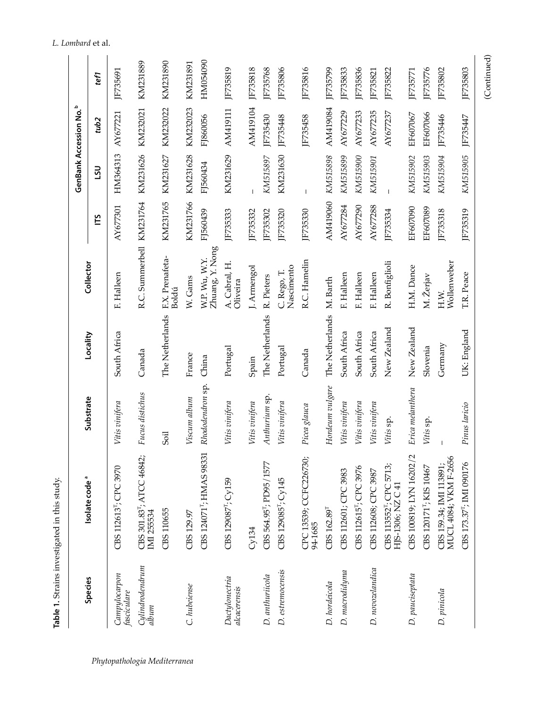|                                | Table 1. Strains investigated in this study.             |                  |                 |                                  |          |                |                                    |                |
|--------------------------------|----------------------------------------------------------|------------------|-----------------|----------------------------------|----------|----------------|------------------------------------|----------------|
|                                |                                                          |                  |                 |                                  |          |                | GenBank Accession No. <sup>b</sup> |                |
| Species                        | Isolate code <sup>ª</sup>                                | Substrate        | Locality        | Collector                        | Ľ        | າຣາ            | tub <sub>2</sub>                   | tef1           |
| Campylocarpon<br>fasciculare   | $\cup$<br>CBS 112613 <sup>T</sup> ; CPC 397              | Vitis vinifera   | South Africa    | F. Halleen                       | AY677301 | HM364313       | AY677221                           | JF735691       |
| Cylindrodendrum<br>album       | CBS 301.83 <sup>T</sup> ; ATCC 46842;<br>IMI 255534      | Fucus distichus  | Canada          | R.C. Summerbell KM231764         |          | KM231626       | KM232021                           | KM231889       |
|                                | CBS 110655                                               | Soil             | The Netherlands | F.X. Prenafeta-<br><b>Boldú</b>  | KM231765 | KM231627       | KM232022                           | KM231890       |
| C. hubeiense                   | CBS 129.97                                               | Viscum album     | France          | W. Gams                          | KM231766 | KM231628       | KM232023                           | KM231891       |
|                                | CBS 124071 <sup>T</sup> ; HMAS 98331                     | Rhododendron sp. | China           | Zhuang, Y. Nong<br>W.P. Wu, W.Y. | FJ560439 | FJ560434       | FJ860056                           | HM054090       |
| Dactylonectria<br>alcacerensis | CBS 129087 <sup>1</sup> ; Cy159                          | Vitis vinifera   | Portugal        | A. Cabral, H.<br>Oliveira        | JF735333 | KM231629       | AM419111                           | JF735819       |
|                                | Cy134                                                    | Vitis vinifera   | Spain           | J. Armengol                      | F735332  |                | AM419104                           | JF735818       |
| D. anthuriicola                | CBS 564.95"; PD95/1577                                   | Anthurium sp.    | The Netherlands | R. Pieters                       | JF735302 | KM515897       | JF735430                           | <b>F735768</b> |
| D. estremocensis               | CBS 129085 <sup>r</sup> ; Cy145                          | Vitis vinifera   | Portugal        | Nascimento<br>C. Rego, T.        | JF735320 | KM231630       | JF735448                           | JF735806       |
|                                | CPC 13539; CCFC226730;<br>94-1685                        | Picea glauca     | Canada          | R.C. Hamelin                     | JF735330 | $\overline{1}$ | JF735458                           | JF735816       |
| D. hordeicola                  | CBS 162.89 <sup>T</sup>                                  | Hordeum vulgare  | The Netherlands | M. Barth                         | AM419060 | KM515898       | AM419084                           | JF735799       |
| D. macrodidyma                 | CBS 112601; CPC 3983                                     | Vitis vinifera   | South Africa    | F. Halleen                       | AY677284 | KM515899       | AY677229                           | <b>F735833</b> |
|                                | CBS 112615 <sup>T</sup> ; CPC 3976                       | Vitis vinifera   | South Africa    | F. Halleen                       | AY677290 | KM515900       | AY677233                           | IF735836       |
| D. novozelandica               | CBS 112608; CPC 3987                                     | Vitis vinifera   | South Africa    | F. Halleen                       | AY677288 | KM515901       | AY677235                           | <b>F735821</b> |
|                                | CBS 113552 <sup>T</sup> ; CPC 5713;<br>HJS-1306; NZ C 41 | Vitis sp.        | New Zealand     | R. Bonfiglioli                   | JF735334 |                | AY677237                           | JF735822       |
| D. pauciseptata                | CBS 100819; LYN 16202/2                                  | Erica melanthera | New Zealand     | H.M. Dance                       | EF607090 | KM515902       | EF607067                           | JF735771       |
|                                | CBS 120171 <sup>T</sup> ; KIS 10467                      | Vitis sp.        | Slovenia        | M. Žerjav                        | EF607089 | KM515903       | EF607066                           | IF735776       |
| D. pinicola                    | MUCL 4084; VKM F-2656<br>CBS 159.34; IMI 113891;         |                  | Germany         | Wollenweber<br>H.W.              | JF735318 | KM515904       | JF735446                           | JF735802       |
|                                | CBS 173.37 <sup>T</sup> ; IMI 090176                     | Pinus laricio    | UK: England     | T.R. Peace                       | JF735319 | KM515905       | JF735447                           | JF735803       |

Table 1. Strains investigated in this study.

342 *Phytopathologia Mediterranea*

# *L. Lombard* et al.

(Continued) (Continued)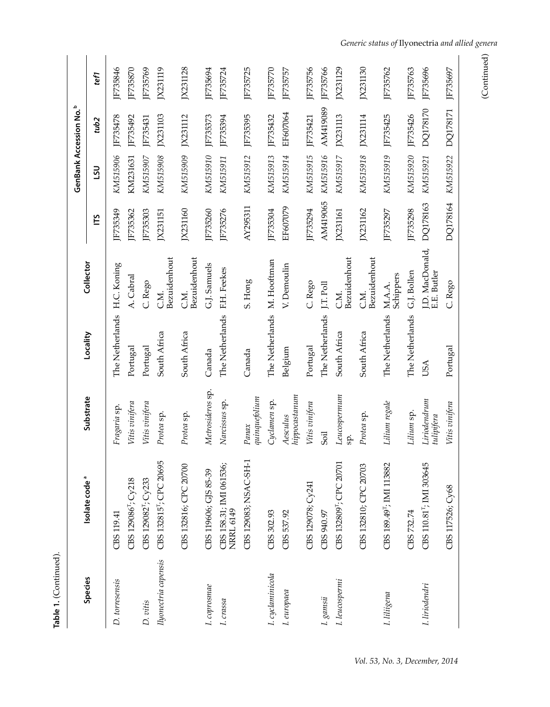| Table 1. (Continued). |                                             |                            |                             |                                |                |            |                                           |          |
|-----------------------|---------------------------------------------|----------------------------|-----------------------------|--------------------------------|----------------|------------|-------------------------------------------|----------|
|                       |                                             |                            |                             |                                |                |            | <b>GenBank Accession No.</b> <sup>b</sup> |          |
| Species               | Isolate code <sup>ª</sup>                   | Substrate                  | Locality                    | Collector                      | ĽБ             | <b>UST</b> | tub2                                      | tef1     |
| D. torresensis        | CBS 119.41                                  | Fragaria sp.               | The Netherlands             | H.C. Koning                    | IF735349       | KM515906   | JF735478                                  | IF735846 |
|                       | CBS 129086 <sup>T</sup> ; Cy218             | Vitis vinifera             | Portugal                    | A. Cabral                      | F735362        | KM231631   | JF735492                                  | JF735870 |
| D. vitis              | CBS 129082 <sup>T</sup> ; Cy233             | Vitis vinifera             | Portugal                    | C. Rego                        | JF735303       | KM515907   | JF735431                                  | JF735769 |
| Ilyonectria capensis  | 5<br>CBS 132815 <sup>T</sup> ; CPC 2069     | Protea sp.                 | South Africa                | Bezuidenhout<br>C.M.           | JX231151       | KM515908   | IX231103                                  | JX231119 |
|                       | CBS 132816; CPC 20700                       | Protea sp.                 | South Africa                | Bezuidenhout<br>C.M.           | JX231160       | KM515909   | JX231112                                  | JX231128 |
| I. coprosmae          | CBS 119606; GJS 85-39                       | Metrosideros sp.           | Canada                      | G.J. Samuels                   | JF735260       | KM515910   | JF735373                                  | JF735694 |
| I. crassa             | CBS 158.31; IMI 061536;<br><b>NRRL 6149</b> | Narcissus sp.              | The Netherlands             | F.H. Feekes                    | JF735276       | KM515911   | JF735394                                  | JF735724 |
|                       | CBS 129083; NSAC-SH-1                       | $quingu$ glium<br>Panax    | Canada                      | S. Hong                        | AY295311       | KM515912   | JF735395                                  | JF735725 |
| I. cyclaminicola      | CBS 302.93                                  | Cyclamen sp.               | The Netherlands M. Hooftman |                                | JF735304       | KM515913   | JF735432                                  | JF735770 |
| I. europaea           | CBS 537.92                                  | htppocastanum<br>Aesculus  | Belgium                     | V. Demoulin                    | EF607079       | KM515914   | EF607064                                  | JF735757 |
|                       | CBS 129078; Cy241                           | Vitis vinifera             | Portugal                    | C. Rego                        | JF735294       | KM515915   | JF735421                                  | JF735756 |
| $I.\,gamsii$          | CBS 940.97                                  | Soil                       | The Netherlands             | J.T. Poll                      | AM419065       | KM515916   | AM419089                                  | JF735766 |
| I. leucospermi        | CBS 132809 <sup>T</sup> ; CPC 20701         | Leucospermum<br>sp.        | South Africa                | Bezuidenhout<br>C.M.           | JX231161       | KM515917   | JX231113                                  | JX231129 |
|                       | CBS 132810; CPC 20703                       | Protea sp.                 | South Africa                | Bezuidenhout<br>C.M.           | JX231162       | KM515918   | JX231114                                  | JX231130 |
| I. liliigena          | CBS 189.49 <sup>T</sup> ; IMI 113882        | Lilium regale              | The Netherlands             | Schippers<br>M.A.A.            | JF735297       | KM515919   | JF735425                                  | JF735762 |
|                       | CBS 732.74                                  | Lilium sp.                 | The Netherlands             | G.J. Bollen                    | <b>F735298</b> | KM515920   | JF735426                                  | JF735763 |
| I. liriodendri        | CBS 110.81 <sup>T</sup> ; IMI 303645        | Liriodendrum<br>tulipifera | <b>USA</b>                  | I.D. MacDonald,<br>E.E. Butler | DQ178163       | KM515921   | DQ178170                                  | JF735696 |
|                       | CBS 117526; Cy68                            | Vitis vinifera             | Portugal                    | C. Rego                        | DQ178164       | KM515922   | DQ178171                                  | IF735697 |

<sup>(</sup>Continued) (Continued)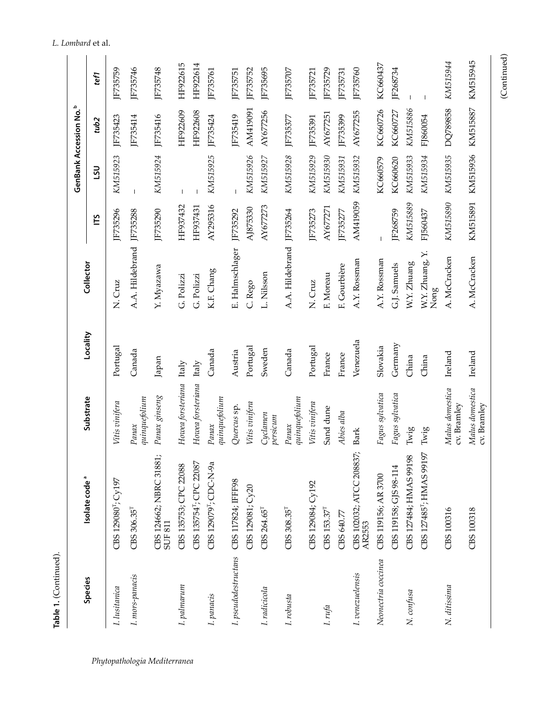| ١<br>ſ |  |
|--------|--|
|        |  |
|        |  |
|        |  |
|        |  |
|        |  |
|        |  |

 $\ddot{\phantom{a}}$ 

| Species              | Isolate code <sup>ª</sup>           | Substrate                      | Locality  | Collector                |                |                | GenBank Accession No. <sup>b</sup> |              |
|----------------------|-------------------------------------|--------------------------------|-----------|--------------------------|----------------|----------------|------------------------------------|--------------|
|                      |                                     |                                |           |                          | ľБ             | <b>USL</b>     | tub <sub>2</sub>                   | tef1         |
| I. lusitanica        | CBS 129080 <sup>T</sup> ; Cy197     | Vitis vinifera                 | Portugal  | N. Cruz                  | IF735296       | KM515923       | JF735423                           | JF735759     |
| I. mors-panacis      | CBS 306.35 <sup>T</sup>             | quenquefolium<br>Panax         | Canada    | A.A. Hildebrand          | JF735288       | $\mathbf{I}$   | JF735414                           | JF735746     |
|                      | CBS 124662; NBRC 31881;<br>SUF 811  | Panax ginseng                  | Japan     | Y. Myazawa               | JF735290       | KM515924       | JF735416                           | JF735748     |
| I. palmarum          | CBS 135753; CPC 22088               | Howea forsteriana              | Italy     | G. Polizzi               | HF937432       |                | HF922609                           | HF922615     |
|                      | CBS 135754 <sup>T</sup> ; CPC 22087 | Howea forsteriana              | Italy     | G. Polizzi               | HF937431       | I              | HF922608                           | HF922614     |
| I. panacis           | CBS 129079 <sup>T</sup> ; CDC-N-9a  | quinquefolium<br>Panax         | Canada    | K.F. Chang               | AY295316       | KM515925       | JF735424                           | JF735761     |
| I. pseudodestructans | CBS 117824; IFF98                   | Quercus sp.                    | Austria   | E. Halmschlager          | JF735292       | $\overline{1}$ | F735419                            | F735751      |
|                      | CBS 129081; Cy20                    | Vitis vinifera                 | Portugal  | C. Rego                  | AJ875330       | KM515926       | AM419091                           | JF735752     |
| I. radicicola        | $CBS 264.65^{T}$                    | Cyclamen<br>persicum           | Sweden    | L. Nilsson               | AY677273       | KM515927       | AY677256                           | JF735695     |
| I. robusta           | CBS 308.35 <sup>T</sup>             | quinquefolium<br>Panax         | Canada    | A.A. Hildebrand JF735264 |                | KM515928       | JF735377                           | JF735707     |
|                      | CBS 129084; Cy192                   | Vitis vinifera                 | Portugal  | N. Cruz                  | <b>F735273</b> | KM515929       | JF735391                           | JF735721     |
| I. $rufa$            | CBS 153.37 <sup>T</sup>             | Sand dune                      | France    | F. Moreau                | AY677271       | KM515930       | AY677251                           | JF735729     |
|                      | CBS 640.77                          | Abies alba                     | France    | F. Gourbière             | JF735277       | KM515931       | JF735399                           | JF735731     |
| I. venezuelensis     | CBS 102032; ATCC 208837;<br>AR2553  | <b>Bark</b>                    | Venezuela | A.Y. Rossman             | AM419059       | KM515932       | AY677255                           | JF735760     |
| Neonectria coccinea  | CBS 119156; AR 3700                 | Fagus sylvatica                | Slovakia  | A.Y. Rossman             |                | KC660579       | KC660726                           | KC660437     |
|                      | CBS 119158; GJS 98-114              | Fagus sylvatica                | Germany   | G.J. Samuels             | JF268759       | KC660620       | KC660727                           | JF268734     |
| N. confusa           | CBS 127484; HMAS 99198              | Twig                           | China     | W.Y. Zhuang              | KM515889       | KM515933       | KM515886                           |              |
|                      | CBS 127485"; HMAS 99197             | Twig                           | China     | W.Y. Zhuang, Y.<br>Nong  | FJ560437       | KM515934       | FJ860054                           | $\mathbf{I}$ |
| N. ditissima         | CBS 100316                          | Malus domestica<br>cv. Bramley | Ireland   | A. McCracken             | KM515890       | KM515935       | DQ789858                           | KM515944     |
|                      | CBS 100318                          | Malus domestica<br>cv. Bramley | Ireland   | A. McCracken             | KM515891       | KM515936       | KM515887                           | KM515945     |

(Continued)

 $(Continued)$ 

## *L. Lombard* et al.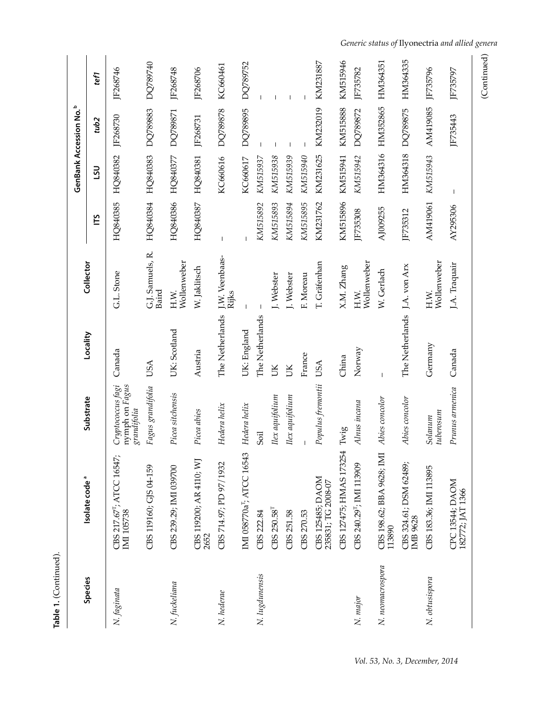| Species          | Isolate code <sup>ª</sup>                           | Substrate                                          | Locality        | Collector                 |                |              | GenBank Accession No. <sup>b</sup> |                                                                |
|------------------|-----------------------------------------------------|----------------------------------------------------|-----------------|---------------------------|----------------|--------------|------------------------------------|----------------------------------------------------------------|
|                  |                                                     |                                                    |                 |                           | ГÉ             | <b>UST</b>   | tub2                               | tef1                                                           |
| N. faginata      | CBS 217.67 <sup>T</sup> ; ATCC 16547;<br>IMI 105738 | nymph on Fagus<br>Cryptococcus fagi<br>grandifolia | Canada          | G.L. Stone                | HQ840385       | HQ840382     | JF268730                           | JF268746                                                       |
|                  | CBS 119160; GJS 04-159                              | Fagus grandifolia                                  | USA             | G.J. Samuels, R.<br>Baird | HQ840384       | HQ840383     | DQ789883                           | DQ789740                                                       |
| N. fuckeliana    | CBS 239.29; IMI 039700                              | Picea sitchensis                                   | UK: Scotland    | Wollenweber<br>H.W.       | HQ840386       | HQ840377     | DQ789871                           | JF268748                                                       |
|                  | CBS 119200; AR 4110; WJ<br>2652                     | Picea abies                                        | Austria         | W. Jaklitsch              | HQ840387       | HQ840381     | JF268731                           | JF268706                                                       |
| N. hederae       | CBS 714.97; PD 97/1932                              | Hedera helix                                       | The Netherlands | J.W. Veenbaas-<br>Rijks   | $\overline{1}$ | KC660616     | DQ789878                           | KC660461                                                       |
|                  | IMI 058770a <sup>T</sup> ; ATCC 16543               | Hedera helix                                       | UK: England     |                           |                | KC660617     | DQ789895                           | DQ789752                                                       |
| N. lugdunensis   | CBS 222.84                                          | Soil                                               | The Netherlands |                           | KM515892       | KM515937     |                                    |                                                                |
|                  | CBS 250.58 <sup>T</sup>                             | Ilex aquifolium                                    | ŬК              | J. Webster                | KM515893       | KM515938     |                                    |                                                                |
|                  | CBS 251.58                                          | Ilex aquifolium                                    | ŬК              | I. Webster                | KM515894       | KM515939     |                                    | $\overline{\phantom{a}}$                                       |
|                  | CBS 270.53                                          |                                                    | France          | F. Moreau                 | KM515895       | KM515940     |                                    |                                                                |
|                  | CBS 125485; DAOM<br>235831; TG 2008-07              | Populus fremontii                                  | USA             | T. Gräfenhan              | KM231762       | KM231625     | KM232019                           | KM231887                                                       |
|                  | CBS 127475; HMAS 173254                             | Twig                                               | China           | X.M. Zhang                | KM515896       | KM515941     | KM515888                           | KM515946                                                       |
| N. major         | CBS 240.29 <sup>T</sup> ; IMI 113909                | Alnus incana                                       | Norway          | Wollenweber<br>H.W.       | JF735308       | KM515942     | DQ789872                           | JF735782                                                       |
| N. neomacrospora | CBS 198.62; BBA 9628; IMI<br>113890                 | Abies concolor                                     |                 | W. Gerlach                | AJ009255       | HM364316     | HM352865                           | HM364351                                                       |
|                  | CBS 324.61; DSM 62489;<br><b>IMB 9628</b>           | Abies concolor                                     | The Netherlands | J.A. von Arx              | JF735312       | HM364318     | DQ789875                           | HM364335                                                       |
| N. obtusispora   | CBS 183.36; IMI 113895                              | tuberosum<br>Solanum                               | Germany         | Wollenweber<br>H.W.       | AM419061       | KM515943     | AM419085                           | JF735796                                                       |
|                  | CPC 13544; DAOM<br>182772; JAT 1366                 | Prunus armenica                                    | Canada          | J.A. Traquair             | AY295306       | $\mathbf{I}$ | JF735443                           | JF735797                                                       |
|                  |                                                     |                                                    |                 |                           |                |              |                                    | Generic status of Ilyonectria and allied genera<br>(Continued) |

<sup>(</sup>Continued)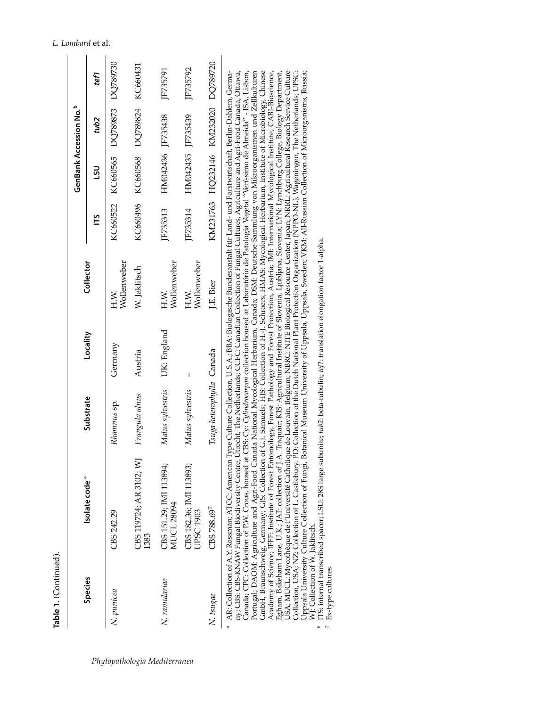| <br>I |  |
|-------|--|
| ≝     |  |

|               | Isolate code <sup>a</sup>                                                                                                                                                                                                                                                                                                                                                                                                                                                                                                                                                 | Substrate                 |             |                     |          |                                     | <b>GenBank Accession No.</b> P |          |
|---------------|---------------------------------------------------------------------------------------------------------------------------------------------------------------------------------------------------------------------------------------------------------------------------------------------------------------------------------------------------------------------------------------------------------------------------------------------------------------------------------------------------------------------------------------------------------------------------|---------------------------|-------------|---------------------|----------|-------------------------------------|--------------------------------|----------|
| Species       |                                                                                                                                                                                                                                                                                                                                                                                                                                                                                                                                                                           |                           | Locality    | Collector           |          | รับ                                 | tub2                           | tef1     |
| N. punicea    | CBS 242.29                                                                                                                                                                                                                                                                                                                                                                                                                                                                                                                                                                | Rhamnus sp.               | Germany     | Wollenweber         |          | KC660522 KC660565 DQ789873 DQ789730 |                                |          |
|               | CBS 119724; AR 3102; WJ<br>1383                                                                                                                                                                                                                                                                                                                                                                                                                                                                                                                                           | Frangula alnus            | Austria     | W. Jaklitsch        |          | KC660496 KC660568 DQ789824 KC660431 |                                |          |
| N. ramulariae | CBS 151.29; IMI 113894;<br><b>MUCL 28094</b>                                                                                                                                                                                                                                                                                                                                                                                                                                                                                                                              | Malus sylvestris          | UK: England | Wollenweber<br>H.W. | IF735313 | HM042436 JF735438                   |                                | IF735791 |
|               | CBS 182.36; IMI 113893;<br><b>JPSC 1903</b>                                                                                                                                                                                                                                                                                                                                                                                                                                                                                                                               | Malus sylvestris          | I           | Wollenweber<br>H.W. | IF735314 | HM042435 JF735439                   |                                | IF735792 |
| N. tsugae     | CBS 788.69 <sup>T</sup>                                                                                                                                                                                                                                                                                                                                                                                                                                                                                                                                                   | Tsuga heterophylla Canada |             | LE. Bier            |          | KM231763 HQ232146 KM232020 DQ789720 |                                |          |
|               | AR: Collection of A.Y. Rossman; ATCC: American Type Culture Collection, U.S.A.; BBA: Biologische Bundesanstalt für Land- und Forstwirtschaft, Berlin-Dahlem, Germa-<br>ny, CBS: CBS: KNAW Fungal Biodiversity Centre, Utrecht, The Netherlands; CCFC: Canadian Collection of Fungal Cultures, Agriculture and Agri-Food Canada, Ottawa,<br>conce in the control of the control of the control of the control of the control of the control of the control of the control of the control of the control of the control of the control of the control of the control of the |                           |             |                     |          |                                     |                                |          |

Academy of Science; IFFF: hastitute of Forest Entomology, Forest Pathology and Forest Protection, Austria; IMI: International Mycological Institute, CABI-Bioscience, Egham, Bakeham Lane, U.K.; JAI: collection of J.A. Traqu Canada; CPC: Collection of P.W. Crous, housed at CBS; Cy: *Cylindrocarpon* collection housed at Laboratório de Patologia Vegetal "Veríssimo de Almeida" - ISA, Lisbon, Portugal; DAOM: Agriculture and Agri-Food Canada National Mycological Herbarium, Canada; DSM: Deutsche Sammlung von Mikroorganismen und Zellkulturen GmbH, Braunschweig, Germany; GJS: Collection of G.J. Samuels; HJS: Collection of H.-J. Schroers; HMAS: Mycological Herbarium, Institute of Microbiology, Chinese Academy of Science; IFFF: Institute of Forest Entomology, Forest Pathology and Forest Protection, Austria; IMI: International Mycological Institute, CABI-Bioscience, Egham, Bakeham Lane, U.K.; JAT: collection of J.A. Traquair; KIS: Agricultural Institute of Slovenia, Ljubljana, Slovenia; LYN: Lynchburg College, Biology Department, USA; MUCL: Mycothèque de l'Université Catholique de Louvain, Belgium; NBRC: NITE Biological Resource Center, Japan; NRRL: Agricultural Research Service Culture Collection, USA; NZ: Collection of L. Castlebury. PD: Collection of the Dutch National Plant Protection Organization (NPPO-NL), Wageningen, The Netherlands; UPSC: Uppsala University Culture Collection of Fungi, Botanical Museum University of Uppsala, Uppsala, Sweden; VKM: All-Russian Collection of Microorganisms, Russia; Canada; CPC: Collection of P.W. Crous, housed at CBS; Cy: Cy*lindrocarpon* collection housed at Laboratório de Patologia Vegetal "Veríssimo de Almeida" - ISA, Lisbon,<br>Portugal; DAOM: Agriculture and Agri-Food Canada Nation GmbH, Braunschweig, Germany; GJS: Collection of G.J. Samuels; HJS: Collection of H.-J. Schroers; HMAS: Mycological Herbarium, Institute of Microbiology, Chinese WJ: Collection of W. Jaklitsch.

ITS: internal transcribed spacer; LSU: 28S large subunite; tub2: beta-tubulin; tef1: translation elongation factor 1-alpha b ITS: internal transcribed spacer; LSU: 28S large subunite; *tub2*: beta-tubulin; *tef1*: translation elongation factor 1-alpha. T Ex-type cultures.

Ex-type cultures.

 $\overline{a}$  $\Delta$ 

## 346 *Phytopathologia Mediterranea*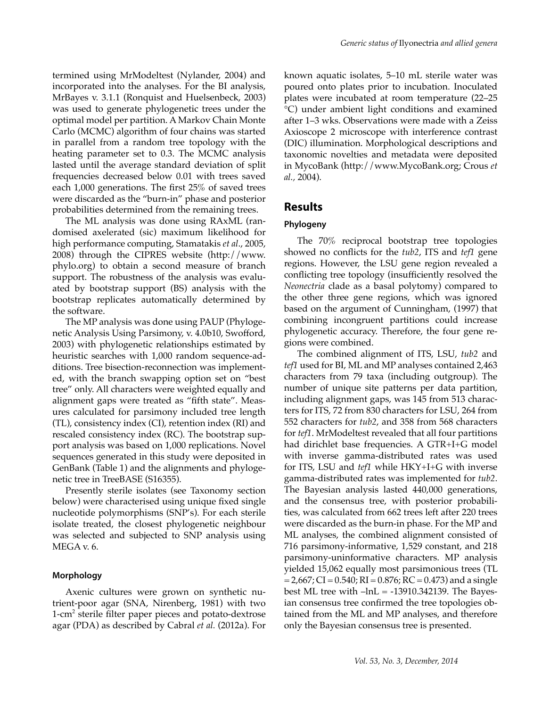termined using MrModeltest (Nylander, 2004) and incorporated into the analyses. For the BI analysis, MrBayes v. 3.1.1 (Ronquist and Huelsenbeck, 2003) was used to generate phylogenetic trees under the optimal model per partition. A Markov Chain Monte Carlo (MCMC) algorithm of four chains was started in parallel from a random tree topology with the heating parameter set to 0.3. The MCMC analysis lasted until the average standard deviation of split frequencies decreased below 0.01 with trees saved each 1,000 generations. The first 25% of saved trees were discarded as the "burn-in" phase and posterior probabilities determined from the remaining trees.

The ML analysis was done using RAxML (randomised axelerated (sic) maximum likelihood for high performance computing, Stamatakis *et al*., 2005, 2008) through the CIPRES website (http://www. phylo.org) to obtain a second measure of branch support. The robustness of the analysis was evaluated by bootstrap support (BS) analysis with the bootstrap replicates automatically determined by the software.

The MP analysis was done using PAUP (Phylogenetic Analysis Using Parsimony, v. 4.0b10, Swofford, 2003) with phylogenetic relationships estimated by heuristic searches with 1,000 random sequence-additions. Tree bisection-reconnection was implemented, with the branch swapping option set on "best tree" only. All characters were weighted equally and alignment gaps were treated as "fifth state". Measures calculated for parsimony included tree length (TL), consistency index (CI), retention index (RI) and rescaled consistency index (RC). The bootstrap support analysis was based on 1,000 replications. Novel sequences generated in this study were deposited in GenBank (Table 1) and the alignments and phylogenetic tree in TreeBASE (S16355).

Presently sterile isolates (see Taxonomy section below) were characterised using unique fixed single nucleotide polymorphisms (SNP's). For each sterile isolate treated, the closest phylogenetic neighbour was selected and subjected to SNP analysis using MEGA v. 6.

## **Morphology**

Axenic cultures were grown on synthetic nutrient-poor agar (SNA, Nirenberg, 1981) with two 1-cm<sup>2</sup> sterile filter paper pieces and potato-dextrose agar (PDA) as described by Cabral *et al.* (2012a). For

known aquatic isolates, 5–10 mL sterile water was poured onto plates prior to incubation. Inoculated plates were incubated at room temperature (22–25 °C) under ambient light conditions and examined after 1–3 wks. Observations were made with a Zeiss Axioscope 2 microscope with interference contrast (DIC) illumination. Morphological descriptions and taxonomic novelties and metadata were deposited in MycoBank (http://www.MycoBank.org; Crous *et al.,* 2004).

## **Results**

#### **Phylogeny**

The 70% reciprocal bootstrap tree topologies showed no conflicts for the *tub2*, ITS and *tef1* gene regions. However, the LSU gene region revealed a conflicting tree topology (insufficiently resolved the *Neonectria* clade as a basal polytomy) compared to the other three gene regions, which was ignored based on the argument of Cunningham, (1997) that combining incongruent partitions could increase phylogenetic accuracy. Therefore, the four gene regions were combined.

The combined alignment of ITS, LSU, *tub2* and *tef1* used for BI, ML and MP analyses contained 2,463 characters from 79 taxa (including outgroup). The number of unique site patterns per data partition, including alignment gaps, was 145 from 513 characters for ITS, 72 from 830 characters for LSU, 264 from 552 characters for *tub2*, and 358 from 568 characters for *tef1*. MrModeltest revealed that all four partitions had dirichlet base frequencies. A GTR+I+G model with inverse gamma-distributed rates was used for ITS, LSU and *tef1* while HKY+I+G with inverse gamma-distributed rates was implemented for *tub2*. The Bayesian analysis lasted 440,000 generations, and the consensus tree, with posterior probabilities, was calculated from 662 trees left after 220 trees were discarded as the burn-in phase. For the MP and ML analyses, the combined alignment consisted of 716 parsimony-informative, 1,529 constant, and 218 parsimony-uninformative characters. MP analysis yielded 15,062 equally most parsimonious trees (TL  $= 2,667$ ; CI = 0.540; RI = 0.876; RC = 0.473) and a single best ML tree with  $-lnL = -13910.342139$ . The Bayesian consensus tree confirmed the tree topologies obtained from the ML and MP analyses, and therefore only the Bayesian consensus tree is presented.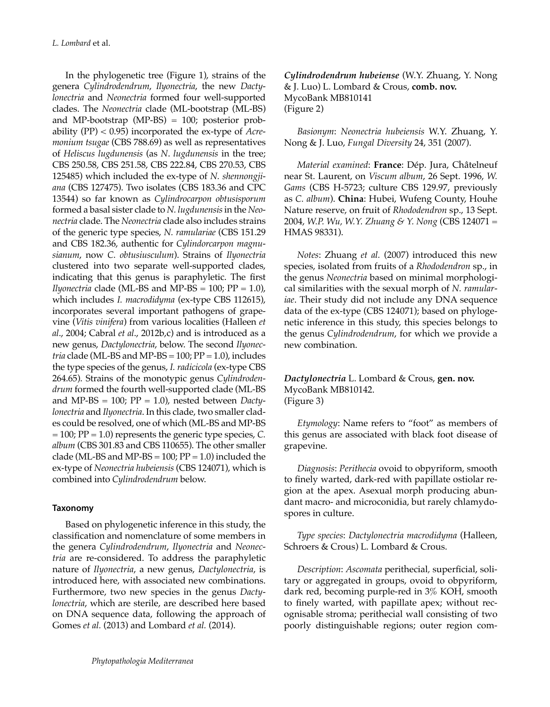In the phylogenetic tree (Figure 1), strains of the genera *Cylindrodendrum*, *Ilyonectria*, the new *Dactylonectria* and *Neonectria* formed four well-supported clades. The *Neonectria* clade (ML-bootstrap (ML-BS) and MP-bootstrap (MP-BS) = 100; posterior probability (PP) < 0.95) incorporated the ex-type of *Acremonium tsugae* (CBS 788.69) as well as representatives of *Heliscus lugdunensis* (as *N*. *lugdunensis* in the tree; CBS 250.58, CBS 251.58, CBS 222.84, CBS 270.53, CBS 125485) which included the ex-type of *N. shennongjiana* (CBS 127475). Two isolates (CBS 183.36 and CPC 13544) so far known as *Cylindrocarpon obtusisporum* formed a basal sister clade to *N. lugdunensis* in the *Neonectria* clade. The *Neonectria* clade also includes strains of the generic type species, *N. ramulariae* (CBS 151.29 and CBS 182.36, authentic for *Cylindorcarpon magnusianum*, now *C. obtusiusculum*). Strains of *Ilyonectria* clustered into two separate well-supported clades, indicating that this genus is paraphyletic. The first *Ilyonectria* clade (ML-BS and MP-BS =  $100$ ; PP =  $1.0$ ), which includes *I. macrodidyma* (ex-type CBS 112615), incorporates several important pathogens of grapevine (*Vitis vinifera*) from various localities (Halleen *et al*., 2004; Cabral *et al*., 2012b,c) and is introduced as a new genus, *Dactylonectria*, below. The second *Ilyonectria* clade (ML-BS and MP-BS =  $100$ ;  $PP = 1.0$ ), includes the type species of the genus, *I. radicicola* (ex-type CBS 264.65). Strains of the monotypic genus *Cylindrodendrum* formed the fourth well-supported clade (ML-BS and MP-BS = 100; PP = 1.0), nested between *Dactylonectria* and *Ilyonectria*. In this clade, two smaller clades could be resolved, one of which (ML-BS and MP-BS = 100; PP = 1.0) represents the generic type species, *C. album* (CBS 301.83 and CBS 110655). The other smaller clade (ML-BS and MP-BS =  $100$ ; PP =  $1.0$ ) included the ex-type of *Neonectria hubeiensis* (CBS 124071), which is combined into *Cylindrodendrum* below.

## **Taxonomy**

Based on phylogenetic inference in this study, the classification and nomenclature of some members in the genera *Cylindrodendrum*, *Ilyonectria* and *Neonectria* are re-considered. To address the paraphyletic nature of *Ilyonectria*, a new genus, *Dactylonectria*, is introduced here, with associated new combinations. Furthermore, two new species in the genus *Dactylonectria*, which are sterile, are described here based on DNA sequence data, following the approach of Gomes *et al.* (2013) and Lombard *et al.* (2014).

*Cylindrodendrum hubeiense* (W.Y. Zhuang, Y. Nong & J. Luo) L. Lombard & Crous, **comb. nov.** MycoBank MB810141 (Figure 2)

*Basionym*: *Neonectria hubeiensis* W.Y. Zhuang, Y. Nong & J. Luo, *Fungal Diversity* 24, 351 (2007).

*Material examined*: **France**: Dép. Jura, Châtelneuf near St. Laurent, on *Viscum album*, 26 Sept. 1996, *W. Gams* (CBS H-5723; culture CBS 129.97, previously as *C. album*). **China**: Hubei, Wufeng County, Houhe Nature reserve, on fruit of *Rhododendron* sp., 13 Sept. 2004, *W.P. Wu, W.Y. Zhuang & Y. Nong* (CBS 124071 = HMAS 98331).

*Notes*: Zhuang *et al.* (2007) introduced this new species, isolated from fruits of a *Rhododendron* sp., in the genus *Neonectria* based on minimal morphological similarities with the sexual morph of *N. ramulariae*. Their study did not include any DNA sequence data of the ex-type (CBS 124071); based on phylogenetic inference in this study, this species belongs to the genus *Cylindrodendrum*, for which we provide a new combination.

*Dactylonectria* L. Lombard & Crous, **gen. nov.** MycoBank MB810142. (Figure 3)

*Etymology*: Name refers to "foot" as members of this genus are associated with black foot disease of grapevine.

*Diagnosis*: *Perithecia* ovoid to obpyriform, smooth to finely warted, dark-red with papillate ostiolar region at the apex. Asexual morph producing abundant macro- and microconidia, but rarely chlamydospores in culture.

*Type species*: *Dactylonectria macrodidyma* (Halleen, Schroers & Crous) L. Lombard & Crous.

*Description*: *Ascomata* perithecial*,* superficial, solitary or aggregated in groups, ovoid to obpyriform, dark red, becoming purple-red in 3% KOH, smooth to finely warted, with papillate apex; without recognisable stroma; perithecial wall consisting of two poorly distinguishable regions; outer region com-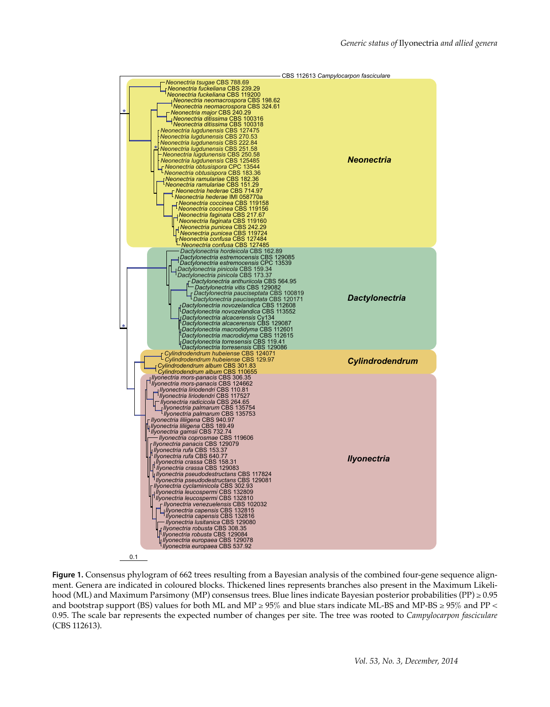

0.1

**Figure 1.** Consensus phylogram of 662 trees resulting from a Bayesian analysis of the combined four-gene sequence alignment. Genera are indicated in coloured blocks. Thickened lines represents branches also present in the Maximum Likelihood (ML) and Maximum Parsimony (MP) consensus trees. Blue lines indicate Bayesian posterior probabilities (PP) ≥ 0.95 and bootstrap support (BS) values for both ML and MP  $\geq$  95% and blue stars indicate ML-BS and MP-BS  $\geq$  95% and PP < 0.95. The scale bar represents the expected number of changes per site. The tree was rooted to *Campylocarpon fasciculare* (CBS 112613).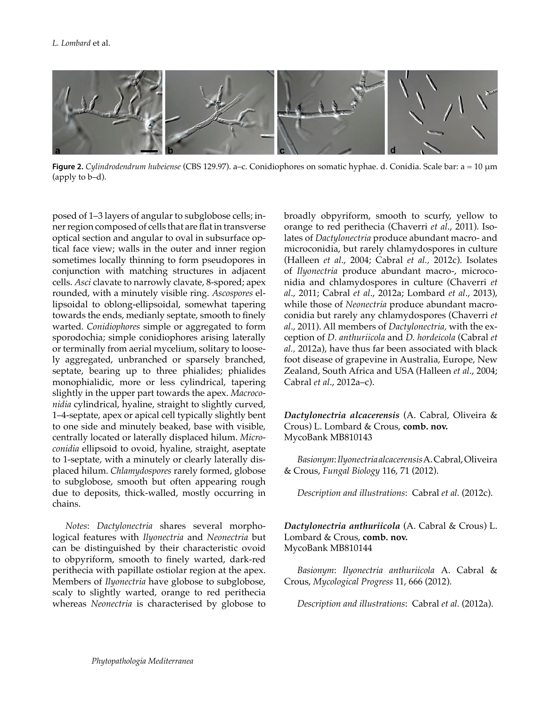

**Figure 2.** *Cylindrodendrum hubeiense* (CBS 129.97). a–c. Conidiophores on somatic hyphae. d. Conidia. Scale bar: a = 10 μm (apply to b–d).

posed of 1–3 layers of angular to subglobose cells; inner region composed of cells that are flat in transverse optical section and angular to oval in subsurface optical face view; walls in the outer and inner region sometimes locally thinning to form pseudopores in conjunction with matching structures in adjacent cells. *Asci* clavate to narrowly clavate, 8-spored; apex rounded, with a minutely visible ring. *Ascospores* ellipsoidal to oblong-ellipsoidal, somewhat tapering towards the ends, medianly septate, smooth to finely warted. *Conidiophores* simple or aggregated to form sporodochia; simple conidiophores arising laterally or terminally from aerial mycelium, solitary to loosely aggregated, unbranched or sparsely branched, septate, bearing up to three phialides; phialides monophialidic, more or less cylindrical, tapering slightly in the upper part towards the apex. *Macroconidia* cylindrical, hyaline, straight to slightly curved, 1–4-septate, apex or apical cell typically slightly bent to one side and minutely beaked, base with visible, centrally located or laterally displaced hilum. *Microconidia* ellipsoid to ovoid, hyaline, straight, aseptate to 1-septate, with a minutely or clearly laterally displaced hilum. *Chlamydospores* rarely formed, globose to subglobose, smooth but often appearing rough due to deposits, thick-walled, mostly occurring in chains.

*Notes*: *Dactylonectria* shares several morphological features with *Ilyonectria* and *Neonectria* but can be distinguished by their characteristic ovoid to obpyriform, smooth to finely warted, dark-red perithecia with papillate ostiolar region at the apex. Members of *Ilyonectria* have globose to subglobose, scaly to slightly warted, orange to red perithecia whereas *Neonectria* is characterised by globose to

broadly obpyriform, smooth to scurfy, yellow to orange to red perithecia (Chaverri *et al*., 2011). Isolates of *Dactylonectria* produce abundant macro- and microconidia, but rarely chlamydospores in culture (Halleen *et al*., 2004; Cabral *et al.,* 2012c). Isolates of *Ilyonectria* produce abundant macro-, microconidia and chlamydospores in culture (Chaverri *et al*., 2011; Cabral *et al*., 2012a; Lombard *et al*., 2013), while those of *Neonectria* produce abundant macroconidia but rarely any chlamydospores (Chaverri *et al*., 2011). All members of *Dactylonectria,* with the exception of *D. anthuriicola* and *D. hordeicola* (Cabral *et al.,* 2012a), have thus far been associated with black foot disease of grapevine in Australia, Europe, New Zealand, South Africa and USA (Halleen *et al*., 2004; Cabral *et al*., 2012a–c).

*Dactylonectria alcacerensis* (A. Cabral, Oliveira & Crous) L. Lombard & Crous, **comb. nov.** MycoBank MB810143

*Basionym*: *Ilyonectria alcacerensis* A. Cabral, Oliveira & Crous, *Fungal Biology* 116, 71 (2012).

*Description and illustrations*: Cabral *et al.* (2012c).

## *Dactylonectria anthuriicola* (A. Cabral & Crous) L. Lombard & Crous, **comb. nov.**  MycoBank MB810144

*Basionym*: *Ilyonectria anthuriicola* A. Cabral & Crous, *Mycological Progress* 11, 666 (2012).

*Description and illustrations*: Cabral *et al.* (2012a).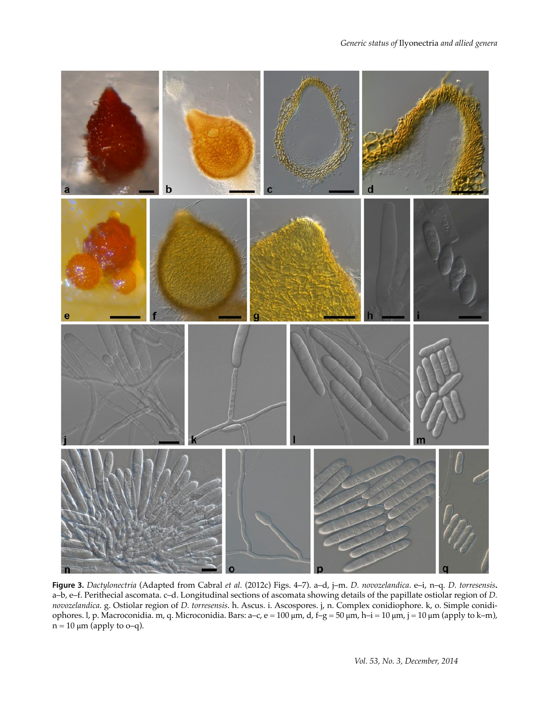

**Figure 3.** *Dactylonectria* (Adapted from Cabral *et al.* (2012c) Figs. 4–7). a–d, j–m. *D. novozelandica*. e–i, n–q. *D. torresensis***.**  a–b, e–f. Perithecial ascomata. c–d. Longitudinal sections of ascomata showing details of the papillate ostiolar region of *D. novozelandica*. g. Ostiolar region of *D. torresensis*. h. Ascus. i. Ascospores. j, n. Complex conidiophore. k, o. Simple conidiophores. l, p. Macroconidia. m, q. Microconidia. Bars: a–c, e = 100 μm, d, f–g = 50 μm, h–i = 10 μm, j = 10 μm (apply to k–m),  $n = 10 \mu m$  (apply to o–q).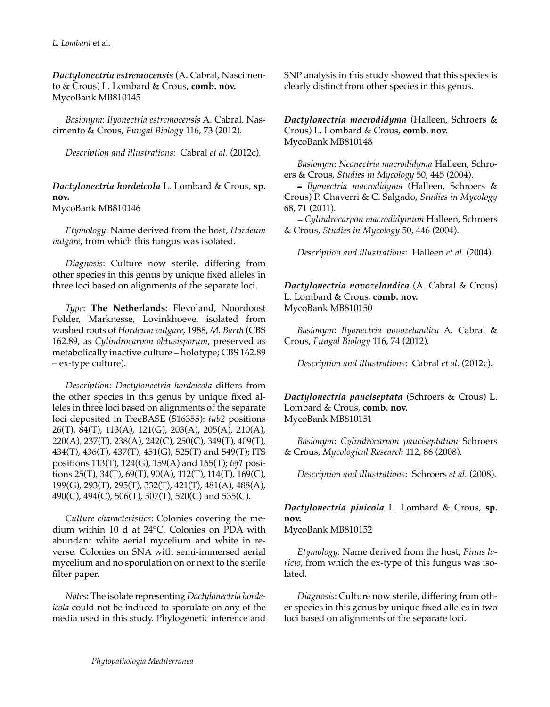*Dactylonectria estremocensis* (A. Cabral, Nascimento & Crous) L. Lombard & Crous, **comb. nov.** MycoBank MB810145

*Basionym*: *Ilyonectria estremocensis* A. Cabral, Nascimento & Crous, *Fungal Biology* 116, 73 (2012).

*Description and illustrations*: Cabral *et al.* (2012c).

## *Dactylonectria hordeicola* L. Lombard & Crous, **sp. nov.**  MycoBank MB810146

*Etymology*: Name derived from the host, *Hordeum vulgare*, from which this fungus was isolated.

*Diagnosis*: Culture now sterile, differing from other species in this genus by unique fixed alleles in three loci based on alignments of the separate loci.

*Type*: **The Netherlands**: Flevoland, Noordoost Polder, Marknesse, Lovinkhoeve, isolated from washed roots of *Hordeum vulgare*, 1988, *M. Barth* (CBS 162.89, as *Cylindrocarpon obtusisporum,* preserved as metabolically inactive culture – holotype; CBS 162.89 – ex-type culture).

*Description*: *Dactylonectria hordeicola* differs from the other species in this genus by unique fixed alleles in three loci based on alignments of the separate loci deposited in TreeBASE (S16355): *tub2* positions 26(T), 84(T), 113(A), 121(G), 203(A), 205(A), 210(A), 220(A), 237(T), 238(A), 242(C), 250(C), 349(T), 409(T), 434(T), 436(T), 437(T), 451(G), 525(T) and 549(T); ITS positions 113(T), 124(G), 159(A) and 165(T); *tef1* positions 25(T), 34(T), 69(T), 90(A), 112(T), 114(T), 169(C), 199(G), 293(T), 295(T), 332(T), 421(T), 481(A), 488(A), 490(C), 494(C), 506(T), 507(T), 520(C) and 535(C).

*Culture characteristics*: Colonies covering the medium within 10 d at 24°C. Colonies on PDA with abundant white aerial mycelium and white in reverse. Colonies on SNA with semi-immersed aerial mycelium and no sporulation on or next to the sterile filter paper.

*Notes*: The isolate representing *Dactylonectria hordeicola* could not be induced to sporulate on any of the media used in this study. Phylogenetic inference and

SNP analysis in this study showed that this species is clearly distinct from other species in this genus.

*Dactylonectria macrodidyma* (Halleen, Schroers & Crous) L. Lombard & Crous, **comb. nov.**  MycoBank MB810148

*Basionym*: *Neonectria macrodidyma* Halleen, Schroers & Crous, *Studies in Mycology* 50, 445 (2004).

≡ *Ilyonectria macrodidyma* (Halleen, Schroers & Crous) P. Chaverri & C. Salgado, *Studies in Mycology* 68, 71 (2011).

= *Cylindrocarpon macrodidymum* Halleen, Schroers & Crous, *Studies in Mycology* 50, 446 (2004).

*Description and illustrations*: Halleen *et al.* (2004).

*Dactylonectria novozelandica* (A. Cabral & Crous) L. Lombard & Crous, **comb. nov.** MycoBank MB810150

*Basionym*: *Ilyonectria novozelandica* A. Cabral & Crous, *Fungal Biology* 116, 74 (2012).

*Description and illustrations*: Cabral *et al.* (2012c).

*Dactylonectria pauciseptata* (Schroers & Crous) L. Lombard & Crous, **comb. nov.** MycoBank MB810151

*Basionym*: *Cylindrocarpon pauciseptatum* Schroers & Crous, *Mycological Research* 112, 86 (2008).

*Description and illustrations*: Schroers *et al.* (2008).

*Dactylonectria pinicola* L. Lombard & Crous, **sp. nov.**

MycoBank MB810152

*Etymology*: Name derived from the host, *Pinus laricio*, from which the ex-type of this fungus was isolated.

*Diagnosis*: Culture now sterile, differing from other species in this genus by unique fixed alleles in two loci based on alignments of the separate loci.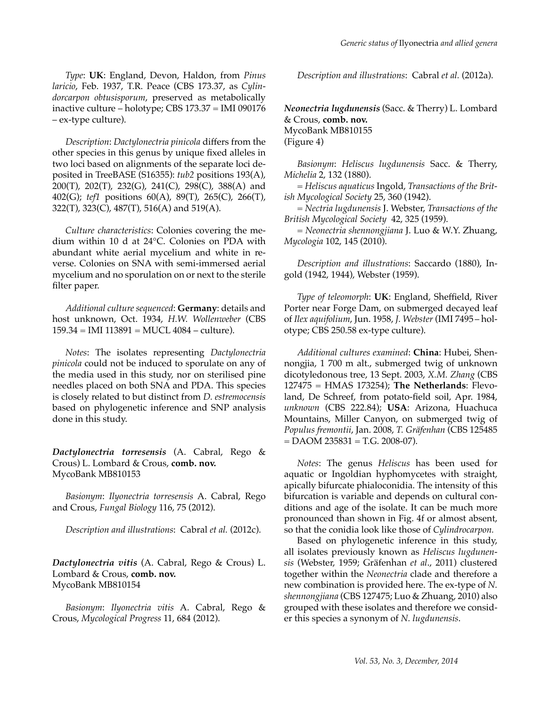*Description*: *Dactylonectria pinicola* differs from the other species in this genus by unique fixed alleles in two loci based on alignments of the separate loci deposited in TreeBASE (S16355): *tub2* positions 193(A), 200(T), 202(T), 232(G), 241(C), 298(C), 388(A) and 402(G); *tef1* positions 60(A), 89(T), 265(C), 266(T), 322(T), 323(C), 487(T), 516(A) and 519(A).

*Culture characteristics*: Colonies covering the medium within 10 d at 24°C. Colonies on PDA with abundant white aerial mycelium and white in reverse. Colonies on SNA with semi-immersed aerial mycelium and no sporulation on or next to the sterile filter paper.

*Additional culture sequenced*: **Germany**: details and host unknown, Oct. 1934, *H.W. Wollenweber* (CBS  $159.34 =$  IMI  $113891 =$  MUCL  $4084 -$  culture).

*Notes*: The isolates representing *Dactylonectria pinicola* could not be induced to sporulate on any of the media used in this study, nor on sterilised pine needles placed on both SNA and PDA. This species is closely related to but distinct from *D. estremocensis* based on phylogenetic inference and SNP analysis done in this study.

*Dactylonectria torresensis* (A. Cabral, Rego & Crous) L. Lombard & Crous, **comb. nov.** MycoBank MB810153

*Basionym*: *Ilyonectria torresensis* A. Cabral, Rego and Crous, *Fungal Biology* 116, 75 (2012).

*Description and illustrations*: Cabral *et al.* (2012c).

*Dactylonectria vitis* (A. Cabral, Rego & Crous) L. Lombard & Crous, **comb. nov.** MycoBank MB810154

*Basionym*: *Ilyonectria vitis* A. Cabral, Rego & Crous, *Mycological Progress* 11, 684 (2012).

*Description and illustrations*: Cabral *et al.* (2012a).

*Neonectria lugdunensis* (Sacc. & Therry) L. Lombard & Crous, **comb. nov.** MycoBank MB810155 (Figure 4)

*Basionym*: *Heliscus lugdunensis* Sacc. & Therry, *Michelia* 2, 132 (1880).

= *Heliscus aquaticus* Ingold, *Transactions of the British Mycological Society* 25, 360 (1942).

= *Nectria lugdunensis* J. Webster, *Transactions of the British Mycological Society* 42, 325 (1959).

= *Neonectria shennongjiana* J. Luo & W.Y. Zhuang, *Mycologia* 102, 145 (2010).

*Description and illustrations*: Saccardo (1880), Ingold (1942, 1944), Webster (1959).

*Type of teleomorph*: **UK**: England, Sheffield, River Porter near Forge Dam, on submerged decayed leaf of *Ilex aquifolium*, Jun. 1958, *J. Webster* (IMI 7495 – holotype; CBS 250.58 ex-type culture).

*Additional cultures examined*: **China**: Hubei, Shennongjia, 1 700 m alt., submerged twig of unknown dicotyledonous tree, 13 Sept. 2003, *X.M. Zhang* (CBS 127475 = HMAS 173254); **The Netherlands**: Flevoland, De Schreef, from potato-field soil, Apr. 1984, *unknown* (CBS 222.84); **USA**: Arizona, Huachuca Mountains, Miller Canyon, on submerged twig of *Populus fremontii*, Jan. 2008, *T. Gräfenhan* (CBS 125485  $=$  DAOM 235831 = T.G. 2008-07).

*Notes*: The genus *Heliscus* has been used for aquatic or Ingoldian hyphomycetes with straight, apically bifurcate phialoconidia. The intensity of this bifurcation is variable and depends on cultural conditions and age of the isolate. It can be much more pronounced than shown in Fig. 4f or almost absent, so that the conidia look like those of *Cylindrocarpon.*

Based on phylogenetic inference in this study, all isolates previously known as *Heliscus lugdunensis* (Webster, 1959; Gräfenhan *et al*., 2011) clustered together within the *Neonectria* clade and therefore a new combination is provided here. The ex-type of *N. shennongjiana* (CBS 127475; Luo & Zhuang, 2010) also grouped with these isolates and therefore we consider this species a synonym of *N. lugdunensis*.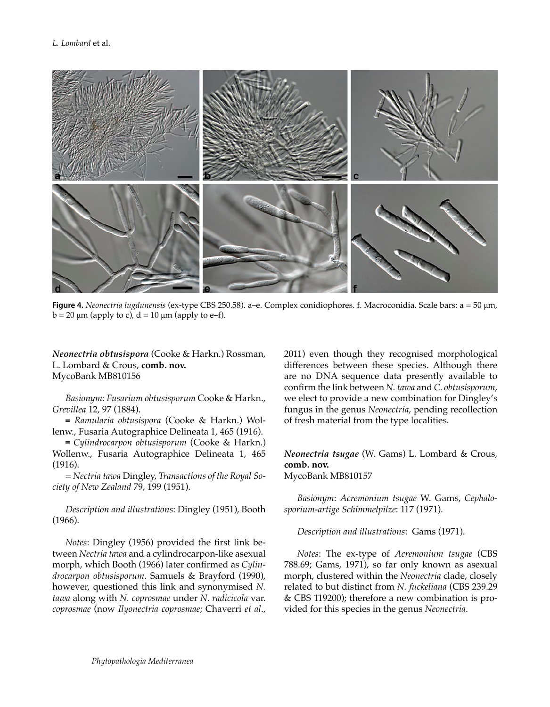

**Figure 4.** *Neonectria lugdunensis* (ex-type CBS 250.58). a–e. Complex conidiophores. f. Macroconidia. Scale bars: a = 50 μm,  $b = 20 \mu m$  (apply to c),  $d = 10 \mu m$  (apply to e–f).

*Neonectria obtusispora* (Cooke & Harkn.) Rossman, L. Lombard & Crous, **comb. nov.** MycoBank MB810156

*Basionym: Fusarium obtusisporum* Cooke & Harkn., *Grevillea* 12, 97 (1884).

≡ *Ramularia obtusispora* (Cooke & Harkn.) Wollenw., Fusaria Autographice Delineata 1, 465 (1916).

≡ *Cylindrocarpon obtusisporum* (Cooke & Harkn.) Wollenw., Fusaria Autographice Delineata 1, 465 (1916).

= *Nectria tawa* Dingley, *Transactions of the Royal Society of New Zealand* 79, 199 (1951).

*Description and illustrations*: Dingley (1951), Booth (1966).

*Notes*: Dingley (1956) provided the first link between *Nectria tawa* and a cylindrocarpon-like asexual morph, which Booth (1966) later confirmed as *Cylindrocarpon obtusisporum*. Samuels & Brayford (1990), however, questioned this link and synonymised *N. tawa* along with *N. coprosmae* under *N. radicicola* var. *coprosmae* (now *Ilyonectria coprosmae*; Chaverri *et al*., 2011) even though they recognised morphological differences between these species. Although there are no DNA sequence data presently available to confirm the link between *N. tawa* and *C. obtusisporum*, we elect to provide a new combination for Dingley's fungus in the genus *Neonectria*, pending recollection of fresh material from the type localities.

#### *Neonectria tsugae* (W. Gams) L. Lombard & Crous, **comb. nov.** MycoBank MB810157

*Basionym*: *Acremonium tsugae* W. Gams, *Cephalosporium-artige Schimmelpilze*: 117 (1971).

#### *Description and illustrations*: Gams (1971).

*Notes*: The ex-type of *Acremonium tsugae* (CBS 788.69; Gams, 1971), so far only known as asexual morph, clustered within the *Neonectria* clade, closely related to but distinct from *N. fuckeliana* (CBS 239.29 & CBS 119200); therefore a new combination is provided for this species in the genus *Neonectria*.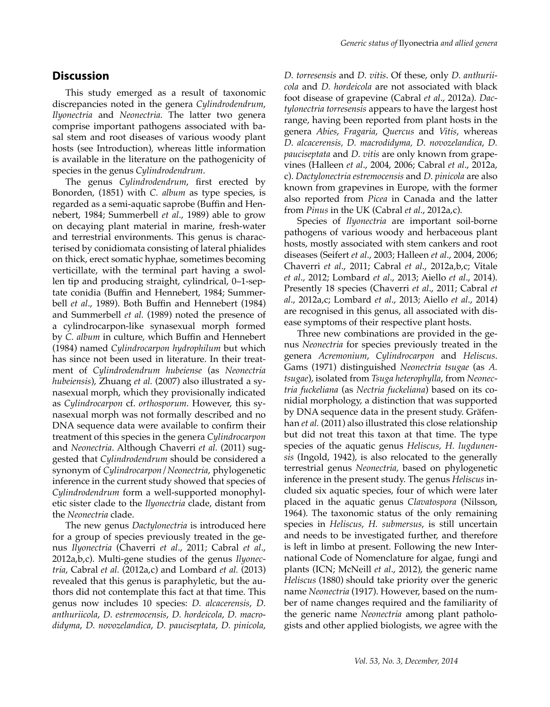# **Discussion**

This study emerged as a result of taxonomic discrepancies noted in the genera *Cylindrodendrum*, *Ilyonectria* and *Neonectria*. The latter two genera comprise important pathogens associated with basal stem and root diseases of various woody plant hosts (see Introduction), whereas little information is available in the literature on the pathogenicity of species in the genus *Cylindrodendrum*.

The genus *Cylindrodendrum*, first erected by Bonorden, (1851) with *C. album* as type species, is regarded as a semi-aquatic saprobe (Buffin and Hennebert, 1984; Summerbell *et al*., 1989) able to grow on decaying plant material in marine, fresh-water and terrestrial environments. This genus is characterised by conidiomata consisting of lateral phialides on thick, erect somatic hyphae, sometimes becoming verticillate, with the terminal part having a swollen tip and producing straight, cylindrical, 0–1-septate conidia (Buffin and Hennebert, 1984; Summerbell *et al*., 1989). Both Buffin and Hennebert (1984) and Summerbell *et al.* (1989) noted the presence of a cylindrocarpon-like synasexual morph formed by *C. album* in culture, which Buffin and Hennebert (1984) named *Cylindrocarpon hydrophilum* but which has since not been used in literature. In their treatment of *Cylindrodendrum hubeiense* (as *Neonectria hubeiensis*), Zhuang *et al.* (2007) also illustrated a synasexual morph, which they provisionally indicated as *Cylindrocarpon* cf. *orthosporum*. However, this synasexual morph was not formally described and no DNA sequence data were available to confirm their treatment of this species in the genera *Cylindrocarpon* and *Neonectria*. Although Chaverri *et al.* (2011) suggested that *Cylindrodendrum* should be considered a synonym of *Cylindrocarpon*/*Neonectria*, phylogenetic inference in the current study showed that species of *Cylindrodendrum* form a well-supported monophyletic sister clade to the *Ilyonectria* clade, distant from the *Neonectria* clade.

The new genus *Dactylonectria* is introduced here for a group of species previously treated in the genus *Ilyonectria* (Chaverri *et al*., 2011; Cabral *et al*., 2012a,b,c). Multi-gene studies of the genus *Ilyonectria*, Cabral *et al.* (2012a,c) and Lombard *et al.* (2013) revealed that this genus is paraphyletic, but the authors did not contemplate this fact at that time. This genus now includes 10 species: *D. alcacerensis*, *D. anthuriicola*, *D. estremocensis*, *D. hordeicola*, *D. macrodidyma*, *D. novozelandica*, *D. pauciseptata*, *D. pinicola*,

*D. torresensis* and *D. vitis*. Of these, only *D. anthuriicola* and *D. hordeicola* are not associated with black foot disease of grapevine (Cabral *et al*., 2012a). *Dactylonectria torresensis* appears to have the largest host range, having been reported from plant hosts in the genera *Abies*, *Fragaria*, *Quercus* and *Vitis*, whereas *D. alcacerensis, D. macrodidyma, D. novozelandica*, *D. pauciseptata* and *D. vitis* are only known from grapevines (Halleen *et al*., 2004, 2006; Cabral *et al*., 2012a, c). *Dactylonectria estremocensis* and *D. pinicola* are also known from grapevines in Europe, with the former also reported from *Picea* in Canada and the latter from *Pinus* in the UK (Cabral *et al*., 2012a,c).

Species of *Ilyonectria* are important soil-borne pathogens of various woody and herbaceous plant hosts, mostly associated with stem cankers and root diseases (Seifert *et al*., 2003; Halleen *et al*., 2004, 2006; Chaverri *et al*., 2011; Cabral *et al*., 2012a,b,c; Vitale *et al*., 2012; Lombard *et al*., 2013; Aiello *et al*., 2014). Presently 18 species (Chaverri *et al*., 2011; Cabral *et al*., 2012a,c; Lombard *et al*., 2013; Aiello *et al*., 2014) are recognised in this genus, all associated with disease symptoms of their respective plant hosts.

Three new combinations are provided in the genus *Neonectria* for species previously treated in the genera *Acremonium*, *Cylindrocarpon* and *Heliscus*. Gams (1971) distinguished *Neonectria tsugae* (as *A. tsugae*), isolated from *Tsuga heterophylla*, from *Neonectria fuckeliana* (as *Nectria fuckeliana*) based on its conidial morphology, a distinction that was supported by DNA sequence data in the present study. Gräfenhan *et al.* (2011) also illustrated this close relationship but did not treat this taxon at that time. The type species of the aquatic genus *Heliscus*, *H. lugdunensis* (Ingold, 1942), is also relocated to the generally terrestrial genus *Neonectria,* based on phylogenetic inference in the present study. The genus *Heliscus* included six aquatic species, four of which were later placed in the aquatic genus *Clavatospora* (Nilsson, 1964). The taxonomic status of the only remaining species in *Heliscus*, *H. submersus*, is still uncertain and needs to be investigated further, and therefore is left in limbo at present. Following the new International Code of Nomenclature for algae, fungi and plants (ICN; McNeill *et al*., 2012), the generic name *Heliscus* (1880) should take priority over the generic name *Neonectria* (1917). However, based on the number of name changes required and the familiarity of the generic name *Neonectria* among plant pathologists and other applied biologists, we agree with the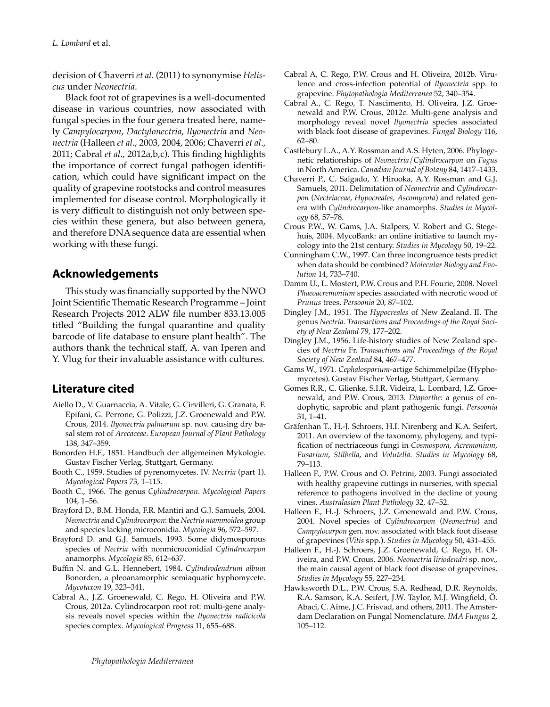decision of Chaverri *et al.* (2011) to synonymise *Heliscus* under *Neonectria*.

Black foot rot of grapevines is a well-documented disease in various countries, now associated with fungal species in the four genera treated here, namely *Campylocarpon*, *Dactylonectria*, *Ilyonectria* and *Neonectria* (Halleen *et al*., 2003, 2004, 2006; Chaverri *et al*., 2011; Cabral *et al*., 2012a,b,c). This finding highlights the importance of correct fungal pathogen identification, which could have significant impact on the quality of grapevine rootstocks and control measures implemented for disease control. Morphologically it is very difficult to distinguish not only between species within these genera, but also between genera, and therefore DNA sequence data are essential when working with these fungi.

# **Acknowledgements**

This study was financially supported by the NWO Joint Scientific Thematic Research Programme – Joint Research Projects 2012 ALW file number 833.13.005 titled "Building the fungal quarantine and quality barcode of life database to ensure plant health". The authors thank the technical staff, A. van Iperen and Y. Vlug for their invaluable assistance with cultures.

# **Literature cited**

- Aiello D., V. Guarnaccia, A. Vitale, G. Cirvilleri, G. Granata, F. Epifani, G. Perrone, G. Polizzi, J.Z. Groenewald and P.W. Crous, 2014. *Ilyonectria palmarum* sp. nov. causing dry basal stem rot of *Arecaceae*. *European Journal of Plant Pathology* 138, 347–359.
- Bonorden H.F., 1851. Handbuch der allgemeinen Mykologie. Gustav Fischer Verlag, Stuttgart, Germany.
- Booth C., 1959. Studies of pyrenomycetes. IV. *Nectria* (part 1). *Mycological Papers* 73, 1–115.
- Booth C., 1966. The genus *Cylindrocarpon*. *Mycological Papers* 104, 1–56.
- Brayford D., B.M. Honda, F.R. Mantiri and G.J. Samuels, 2004. *Neonectria* and *Cylindrocarpon*: the *Nectria mammoidea* group and species lacking microconidia. *Mycologia* 96, 572–597.
- Brayford D. and G.J. Samuels, 1993. Some didymosporous species of *Nectria* with nonmicroconidial *Cylindrocarpon* anamorphs. *Mycologia* 85, 612–637.
- Buffin N. and G.L. Hennebert, 1984. *Cylindrodendrum album* Bonorden, a pleoanamorphic semiaquatic hyphomycete. *Mycotaxon* 19, 323–341.
- Cabral A., J.Z. Groenewald, C. Rego, H. Oliveira and P.W. Crous, 2012a. Cylindrocarpon root rot: multi-gene analysis reveals novel species within the *Ilyonectria radicicola* species complex. *Mycological Progress* 11, 655–688.
- Cabral A, C. Rego, P.W. Crous and H. Oliveira, 2012b. Virulence and cross-infection potential of *Ilyonectria* spp. to grapevine. *Phytopathologia Mediterranea* 52, 340–354.
- Cabral A., C. Rego, T. Nascimento, H. Oliveira, J.Z. Groenewald and P.W. Crous, 2012c. Multi-gene analysis and morphology reveal novel *Ilyonectria* species associated with black foot disease of grapevines. *Fungal Biology* 116, 62–80.
- Castlebury L.A., A.Y. Rossman and A.S. Hyten, 2006. Phylogenetic relationships of *Neonectria*/*Cylindrocarpon* on *Fagus* in North America. *Canadian Journal of Botany* 84, 1417–1433.
- Chaverri P., C. Salgado, Y. Hirooka, A.Y. Rossman and G.J. Samuels, 2011. Delimitation of *Neonectria* and *Cylindrocarpon* (*Nectriaceae*, *Hypocreales*, *Ascomycota*) and related genera with *Cylindrocarpon*-like anamorphs. *Studies in Mycology* 68, 57–78.
- Crous P.W., W. Gams, J.A. Stalpers, V. Robert and G. Stegehuis, 2004. MycoBank: an online initiative to launch mycology into the 21st century. *Studies in Mycology* 50, 19–22.
- Cunningham C.W., 1997. Can three incongruence tests predict when data should be combined? *Molecular Biology and Evolution* 14, 733–740.
- Damm U., L. Mostert, P.W. Crous and P.H. Fourie, 2008. Novel *Phaeoacremonium* species associated with necrotic wood of *Prunus* trees. *Persoonia* 20, 87–102.
- Dingley J.M., 1951. The *Hypocreales* of New Zealand. II. The genus *Nectria*. *Transactions and Proceedings of the Royal Society of New Zealand* 79, 177–202.
- Dingley J.M., 1956. Life-history studies of New Zealand species of *Nectria* Fr. *Transactions and Proceedings of the Royal Society of New Zealand* 84, 467–477.
- Gams W., 1971. *Cephalosporium*-artige Schimmelpilze (Hyphomycetes). Gustav Fischer Verlag, Stuttgart, Germany.
- Gomes R.R., C. Glienke, S.I.R. Videira, L. Lombard, J.Z. Groenewald, and P.W. Crous, 2013. *Diaporthe*: a genus of endophytic, saprobic and plant pathogenic fungi. *Persoonia* 31, 1–41.
- Gräfenhan T., H.-J. Schroers, H.I. Nirenberg and K.A. Seifert, 2011. An overview of the taxonomy, phylogeny, and typification of nectriaceous fungi in *Cosmospora*, *Acremonium*, *Fusarium*, *Stilbella*, and *Volutella*. *Studies in Mycology* 68, 79–113.
- Halleen F., P.W. Crous and O. Petrini, 2003. Fungi associated with healthy grapevine cuttings in nurseries, with special reference to pathogens involved in the decline of young vines. *Australasian Plant Pathology* 32, 47–52.
- Halleen F., H.-J. Schroers, J.Z. Groenewald and P.W. Crous, 2004. Novel species of *Cylindrocarpon* (*Neonectria*) and *Campylocarpon* gen. nov. associated with black foot disease of grapevines (*Vitis* spp.). *Studies in Mycology* 50, 431–455.
- Halleen F., H.-J. Schroers, J.Z. Groenewald, C. Rego, H. Oliveira, and P.W. Crous, 2006. *Neonectria liriodendri* sp. nov., the main causal agent of black foot disease of grapevines. *Studies in Mycology* 55, 227–234.
- Hawksworth D.L., P.W. Crous, S.A. Redhead, D.R. Reynolds, R.A. Samson, K.A. Seifert, J.W. Taylor, M.J. Wingfield, Ö. Abaci, C. Aime, J.C. Frisvad, and others, 2011. The Amsterdam Declaration on Fungal Nomenclature. *IMA Fungus* 2, 105–112.